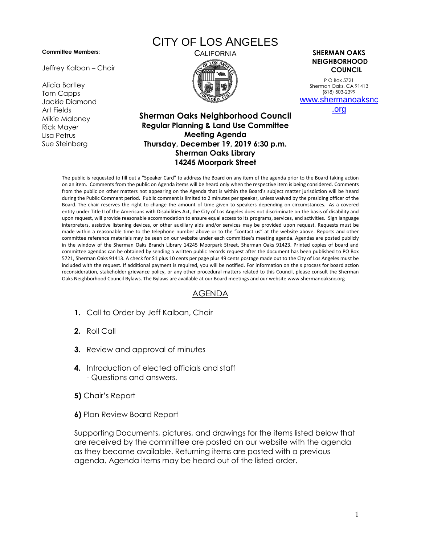#### **Committee Members:**

Jeffrey Kalban – Chair

Alicia Bartley Tom Capps Jackie Diamond Art Fields Mikie Maloney Rick Mayer Lisa Petrus Sue Steinberg

# CITY OF LOS ANGELES



### CALIFORNIA **SHERMAN OAKS NEIGHBORHOOD COUNCIL**

P O Box 5721 Sherman Oaks, CA 91413 (818) 503-2399 [www.shermanoaksnc](http://www.shermanoaksnc.org/)

[.org](http://www.shermanoaksnc.org/)

## **Sherman Oaks Neighborhood Council Regular Planning & Land Use Committee Meeting Agenda Thursday, December 19, 2019 6:30 p.m. Sherman Oaks Library 14245 Moorpark Street**

The public is requested to fill out a "Speaker Card" to address the Board on any item of the agenda prior to the Board taking action on an item. Comments from the public on Agenda items will be heard only when the respective item is being considered. Comments from the public on other matters not appearing on the Agenda that is within the Board's subject matter jurisdiction will be heard during the Public Comment period. Public comment is limited to 2 minutes per speaker, unless waived by the presiding officer of the Board. The chair reserves the right to change the amount of time given to speakers depending on circumstances. As a covered entity under Title II of the Americans with Disabilities Act, the City of Los Angeles does not discriminate on the basis of disability and upon request, will provide reasonable accommodation to ensure equal access to its programs, services, and activities. Sign language interpreters, assistive listening devices, or other auxiliary aids and/or services may be provided upon request. Requests must be made within a reasonable time to the telephone number above or to the "contact us" at the website above. Reports and other committee reference materials may be seen on our website under each committee's meeting agenda. Agendas are posted publicly in the window of the Sherman Oaks Branch Library 14245 Moorpark Street, Sherman Oaks 91423. Printed copies of board and committee agendas can be obtained by sending a written public records request after the document has been published to PO Box 5721, Sherman Oaks 91413. A check for \$1 plus 10 cents per page plus 49 cents postage made out to the City of Los Angeles must be included with the request. If additional payment is required, you will be notified. For information on the s process for board action reconsideration, stakeholder grievance policy, or any other procedural matters related to this Council, please consult the Sherman Oaks Neighborhood Council Bylaws. The Bylaws are available at our Board meetings and our website www.shermanoaksnc.org

## AGENDA

- **1.** Call to Order by Jeff Kalban, Chair
- **2.** Roll Call
- **3.** Review and approval of minutes
- **4.** Introduction of elected officials and staff - Questions and answers.
- **5)** Chair's Report
- **6)** Plan Review Board Report

Supporting Documents, pictures, and drawings for the items listed below that are received by the committee are posted on our website with the agenda as they become available. Returning items are posted with a previous agenda. Agenda items may be heard out of the listed order.